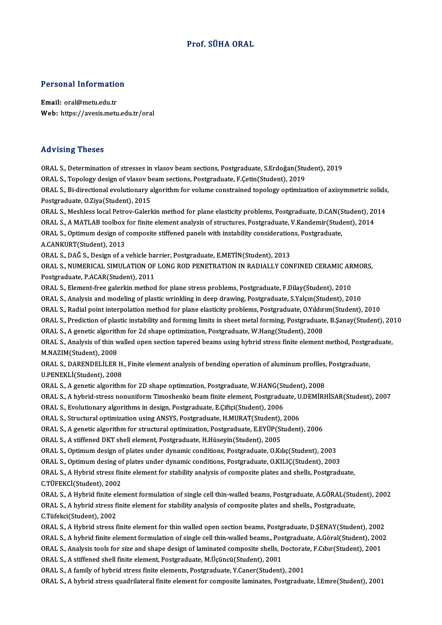#### Prof. SÜHA ORAL

# Personal Information

Personal Informatio<br>Email: oral@metu.edu.tr<br>Web: https://avesis.metu Email: oral@metu.edu.tr<br>Web: https://avesis.metu.edu.tr/oral

#### Advising Theses

ORAL S.,Determinationof stresses invlasovbeamsections,Postgraduate,S.Erdoğan(Student),2019 ORAL S., Topology design of vlasov beam sections, Postgraduate, F.Çetin(Student), 2019 ORAL S., Determination of stresses in vlasov beam sections, Postgraduate, S.Erdoğan(Student), 2019<br>ORAL S., Topology design of vlasov beam sections, Postgraduate, F.Çetin(Student), 2019<br>ORAL S., Bi-directional evolutionary ORAL S., Topology design of vlasov bo<br>ORAL S., Bi-directional evolutionary a<br>Postgraduate, O.Ziya(Student), 2015<br>ORAL S. Mesbless local Petrou Calerl ORAL S., Bi-directional evolutionary algorithm for volume constrained topology optimization of axisymmetric solids<br>Postgraduate, O.Ziya(Student), 2015<br>ORAL S., Meshless local Petrov-Galerkin method for plane elasticity pro Postgraduate, O.Ziya(Student), 2015<br>ORAL S., Meshless local Petrov-Galerkin method for plane elasticity problems, Postgraduate, D.CAN(Student), 20<br>ORAL S., A MATLAB toolbox for finite element analysis of structures, Postgr ORAL S., Meshless local Petrov-Galerkin method for plane elasticity problems, Postgraduate, D.CAN(S<br>ORAL S., A MATLAB toolbox for finite element analysis of structures, Postgraduate, V.Kandemir(Stud<br>ORAL S., Optimum design ORAL S., A MATLAB toolbox for finite element analysis of structures, Postgraduate, V.Kandemir(Student), 2014<br>ORAL S., Optimum design of composite stiffened panels with instability considerations, Postgraduate,<br>A.CANKURT(St ORAL S., Optimum design of composite stiffened panels with instability consideration<br>A.CANKURT(Student), 2013<br>ORAL S., DAĞ S., Design of a vehicle barrier, Postgraduate, E.METİN(Student), 2013<br>ORAL S. NUMERICAL SIMILLATION ORAL S., NUMERICAL SIMULATION OF LONG ROD PENETRATION IN RADIALLY CONFINED CERAMIC ARMORS,<br>Postgraduate, P.ACAR(Student), 2011 ORAL S., DAĞ S., Design of a vehicle ba<br>ORAL S., NUMERICAL SIMULATION OF<br>Postgraduate, P.ACAR(Student), 2011<br>ORAL S. Element free gelerkin method ORAL S., NUMERICAL SIMULATION OF LONG ROD PENETRATION IN RADIALLY CONFINED CERAMIC AR<br>Postgraduate, P.ACAR(Student), 2011<br>ORAL S., Element-free galerkin method for plane stress problems, Postgraduate, F.Dilay(Student), 201 Postgraduate, P.ACAR(Student), 2011<br>ORAL S., Element-free galerkin method for plane stress problems, Postgraduate, F.Dilay(Student), 2010<br>ORAL S., Analysis and modeling of plastic wrinkling in deep drawing, Postgraduate, S ORAL S., Element-free galerkin method for plane stress problems, Postgraduate, F.Dilay(Student), 2010<br>ORAL S., Analysis and modeling of plastic wrinkling in deep drawing, Postgraduate, S.Yalçın(Student), 2010<br>ORAL S., Radi ORAL S., Analysis and modeling of plastic wrinkling in deep drawing, Postgraduate, S.Yalçın(Student), 2010<br>ORAL S., Radial point interpolation method for plane elasticity problems, Postgraduate, O.Yıldırım(Student), 2010<br>O ORAL S., Radial point interpolation method for plane elasticity problems, Postgraduate, O.Yıldır<br>ORAL S., Prediction of plastic instability and forming limits in sheet metal forming, Postgraduate<br>ORAL S., A genetic algorit ORAL S., Prediction of plastic instability and forming limits in sheet metal forming, Postgraduate, B.Şanay(Student), 20<br>ORAL S., A genetic algorithm for 2d shape optimization, Postgraduate, W.Hang(Student), 2008<br>ORAL S., ORAL S., A genetic algorithm for 2d shape optimization, Postgraduate, W.Hang(Student), 2008<br>ORAL S., Analysis of thin walled open section tapered beams using hybrid stress finite element<br>M.NAZIM(Student), 2008 ORAL S., Analysis of thin walled open section tapered beams using hybrid stress finite element method, Postgraduate,<br>M.NAZIM(Student), 2008<br>ORAL S., DARENDELİLER H., Finite element analysis of bending operation of aluminum M.NAZIM(Student), 2008<br>ORAL S., DARENDELİLER H.<br>U.PENEKLİ(Student), 2008<br>ORAL S. A senstis alsonithm ORAL S., DARENDELİLER H., Finite element analysis of bending operation of aluminum profiles,<br>U.PENEKLİ(Student), 2008<br>ORAL S., A genetic algorithm for 2D shape optimzation, Postgraduate, W.HANG(Student), 2008<br>ORAL S. A byk U.PENEKLİ(Student), 2008<br>ORAL S., A genetic algorithm for 2D shape optimzation, Postgraduate, W.HANG(Student), 2008<br>ORAL S., A hybrid-stress nonuniform Timoshenko beam finite element, Postgraduate, U.DEMİRHİSAR(Student), 2 ORAL S., A genetic algorithm for 2D shape optimzation, Postgraduate, W.HANG(Student), 2008<br>ORAL S., A hybrid-stress nonuniform Timoshenko beam finite element, Postgraduate, U.DEMİRI<br>ORAL S., Evolutionary algorithms in desi ORAL S., A hybrid-stress nonuniform Timoshenko beam finite element, Postgraduate, U<br>ORAL S., Evolutionary algorithms in design, Postgraduate, E.Çiftçi(Student), 2006<br>ORAL S., Structural optimization using ANSYS, Postgradua ORAL S., A genetic algorithm for structural optimization, Postgraduate, E.EYÜP(Student), 2006<br>ORAL S., A stiffened DKT shell element, Postgraduate, H.Hüseyin(Student), 2005 ORAL S., Structural optimization using ANSYS, Postgraduate, H.MURAT(Student), 2006 ORAL S., Optimum design of plates under dynamic conditions, Postgraduate, O.Kılıç(Student), 2003 ORAL S., A stiffened DKT shell element, Postgraduate, H.Hüseyin(Student), 2005<br>ORAL S., Optimum design of plates under dynamic conditions, Postgraduate, O.KIlıç(Student), 2003<br>ORAL S., Optimum desing of plates under dynami ORAL S., Optimum design of plates under dynamic conditions, Postgraduate, O.Kılıç(Student), 2003<br>ORAL S., Optimum desing of plates under dynamic conditions, Postgraduate, O.KILIÇ(Student), 2003<br>ORAL S., A Hybrid stress fin ORAL S., A Hybrid stress finite element for stability analysis of composite plates and shells, Postgraduate, C.TÜFEKCİ(Student), 2002 ORAL S., A Hybrid stress finite element for stability analysis of composite plates and shells, Postgraduate,<br>C.TÜFEKCİ(Student), 2002<br>ORAL S., A Hybrid finite element formulation of single cell thin-walled beams, Postgradu C.TÜFEKCİ(Student), 2002<br>ORAL S., A Hybrid finite element formulation of single cell thin-walled beams, Postgraduate, A.GÖRAL(Stu<br>ORAL S., A hybrid stress finite element for stability analysis of composite plates and shell ORAL S., A Hybrid finite el<br>ORAL S., A hybrid stress fi<br>C.Tüfekci(Student), 2002<br>OPAL S. A Hybrid stress f ORAL S., A hybrid stress finite element for stability analysis of composite plates and shells., Postgraduate,<br>C.Tüfekci(Student), 2002<br>ORAL S., A Hybrid stress finite element for thin walled open section beams, Postgraduat C.Tüfekci(Student), 2002<br>ORAL S., A Hybrid stress finite element for thin walled open section beams, Postgraduate, D.ŞENAY(Student), 2002<br>ORAL S., A hybrid finite element formulation of single cell thin-walled beams., Post ORAL S., A Hybrid stress finite element for thin walled open section beams, Postgraduate, D.ŞENAY(Student), 2002<br>ORAL S., A hybrid finite element formulation of single cell thin-walled beams., Postgraduate, A.Göral(Student ORAL S., A hybrid finite element formulation of single cell thin-walled beams., Pos<br>ORAL S., Analysis tools for size and shape design of laminated composite shells, L<br>ORAL S., A stiffened shell finite element, Postgraduate ORAL S., Analysis tools for size and shape design of laminated composite shells, Doctorate, F.Cıbır(Student), 2001<br>ORAL S., A stiffened shell finite element, Postgraduate, M.Üçüncü(Student), 2001<br>ORAL S., A family of hybri ORAL S., A hybrid stress quadrilateral finite element for composite laminates, Postgraduate, İ.Emre(Student), 2001